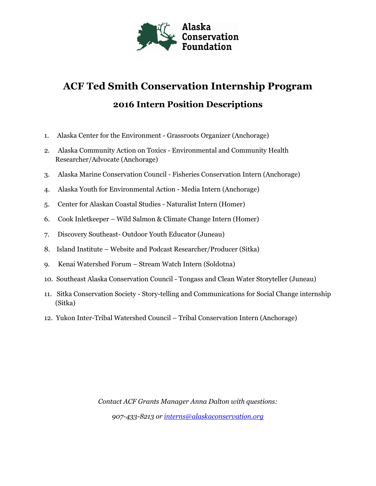

# **ACF Ted Smith Conservation Internship Program 2016 Intern Position Descriptions**

- 1. Alaska Center for the Environment Grassroots Organizer (Anchorage)
- 2. Alaska Community Action on Toxics Environmental and Community Health Researcher/Advocate (Anchorage)
- 3. Alaska Marine Conservation Council Fisheries Conservation Intern (Anchorage)
- 4. Alaska Youth for Environmental Action Media Intern (Anchorage)
- 5. Center for Alaskan Coastal Studies Naturalist Intern (Homer)
- 6. Cook Inletkeeper Wild Salmon & Climate Change Intern (Homer)
- 7. Discovery Southeast- Outdoor Youth Educator (Juneau)
- 8. Island Institute Website and Podcast Researcher/Producer (Sitka)
- 9. Kenai Watershed Forum Stream Watch Intern (Soldotna)
- 10. Southeast Alaska Conservation Council Tongass and Clean Water Storyteller (Juneau)
- 11. Sitka Conservation Society Story-telling and Communications for Social Change internship (Sitka)
- 12. Yukon Inter-Tribal Watershed Council Tribal Conservation Intern (Anchorage)

*Contact ACF Grants Manager Anna Dalton with questions: 907-433-8213 or [interns@alaskaconservation.org](https://alaskaconservation-my.sharepoint.com/personal/adalton_alaskaconservation_org/Documents/interns@alaskaconservation.org)*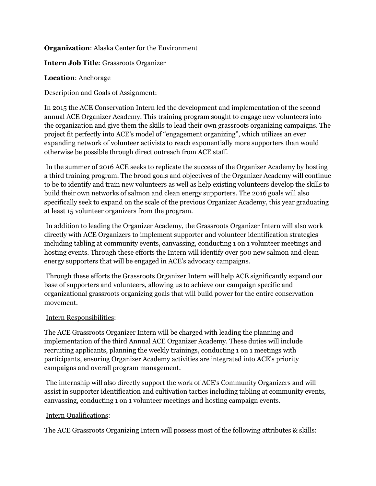## **Organization**: Alaska Center for the Environment

#### **Intern Job Title**: Grassroots Organizer

### **Location**: Anchorage

### Description and Goals of Assignment:

In 2015 the ACE Conservation Intern led the development and implementation of the second annual ACE Organizer Academy. This training program sought to engage new volunteers into the organization and give them the skills to lead their own grassroots organizing campaigns. The project fit perfectly into ACE's model of "engagement organizing", which utilizes an ever expanding network of volunteer activists to reach exponentially more supporters than would otherwise be possible through direct outreach from ACE staff.

In the summer of 2016 ACE seeks to replicate the success of the Organizer Academy by hosting a third training program. The broad goals and objectives of the Organizer Academy will continue to be to identify and train new volunteers as well as help existing volunteers develop the skills to build their own networks of salmon and clean energy supporters. The 2016 goals will also specifically seek to expand on the scale of the previous Organizer Academy, this year graduating at least 15 volunteer organizers from the program.

In addition to leading the Organizer Academy, the Grassroots Organizer Intern will also work directly with ACE Organizers to implement supporter and volunteer identification strategies including tabling at community events, canvassing, conducting 1 on 1 volunteer meetings and hosting events. Through these efforts the Intern will identify over 500 new salmon and clean energy supporters that will be engaged in ACE's advocacy campaigns.

Through these efforts the Grassroots Organizer Intern will help ACE significantly expand our base of supporters and volunteers, allowing us to achieve our campaign specific and organizational grassroots organizing goals that will build power for the entire conservation movement.

#### Intern Responsibilities:

The ACE Grassroots Organizer Intern will be charged with leading the planning and implementation of the third Annual ACE Organizer Academy. These duties will include recruiting applicants, planning the weekly trainings, conducting 1 on 1 meetings with participants, ensuring Organizer Academy activities are integrated into ACE's priority campaigns and overall program management.

The internship will also directly support the work of ACE's Community Organizers and will assist in supporter identification and cultivation tactics including tabling at community events, canvassing, conducting 1 on 1 volunteer meetings and hosting campaign events.

#### Intern Qualifications:

The ACE Grassroots Organizing Intern will possess most of the following attributes & skills: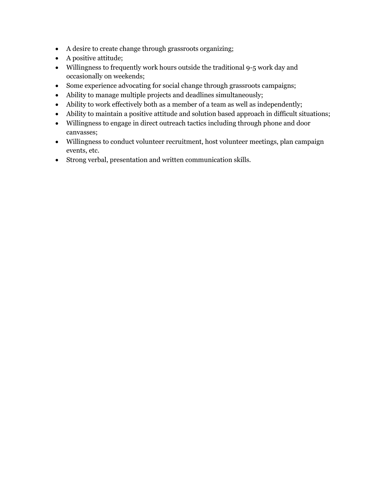- A desire to create change through grassroots organizing;
- A positive attitude;
- Willingness to frequently work hours outside the traditional 9-5 work day and occasionally on weekends;
- Some experience advocating for social change through grassroots campaigns;
- Ability to manage multiple projects and deadlines simultaneously;
- Ability to work effectively both as a member of a team as well as independently;
- Ability to maintain a positive attitude and solution based approach in difficult situations;
- Willingness to engage in direct outreach tactics including through phone and door canvasses;
- Willingness to conduct volunteer recruitment, host volunteer meetings, plan campaign events, etc.
- Strong verbal, presentation and written communication skills.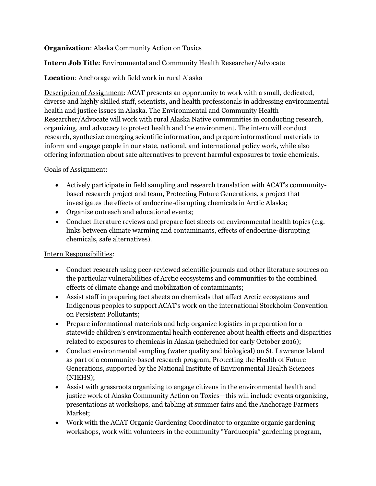# **Organization**: Alaska Community Action on Toxics

# **Intern Job Title**: Environmental and Community Health Researcher/Advocate

# **Location**: Anchorage with field work in rural Alaska

Description of Assignment: ACAT presents an opportunity to work with a small, dedicated, diverse and highly skilled staff, scientists, and health professionals in addressing environmental health and justice issues in Alaska. The Environmental and Community Health Researcher/Advocate will work with rural Alaska Native communities in conducting research, organizing, and advocacy to protect health and the environment. The intern will conduct research, synthesize emerging scientific information, and prepare informational materials to inform and engage people in our state, national, and international policy work, while also offering information about safe alternatives to prevent harmful exposures to toxic chemicals.

# Goals of Assignment:

- Actively participate in field sampling and research translation with ACAT's communitybased research project and team, Protecting Future Generations, a project that investigates the effects of endocrine-disrupting chemicals in Arctic Alaska;
- Organize outreach and educational events;
- Conduct literature reviews and prepare fact sheets on environmental health topics (e.g. links between climate warming and contaminants, effects of endocrine-disrupting chemicals, safe alternatives).

# Intern Responsibilities:

- Conduct research using peer-reviewed scientific journals and other literature sources on the particular vulnerabilities of Arctic ecosystems and communities to the combined effects of climate change and mobilization of contaminants;
- Assist staff in preparing fact sheets on chemicals that affect Arctic ecosystems and Indigenous peoples to support ACAT's work on the international Stockholm Convention on Persistent Pollutants;
- Prepare informational materials and help organize logistics in preparation for a statewide children's environmental health conference about health effects and disparities related to exposures to chemicals in Alaska (scheduled for early October 2016);
- Conduct environmental sampling (water quality and biological) on St. Lawrence Island as part of a community-based research program, Protecting the Health of Future Generations, supported by the National Institute of Environmental Health Sciences (NIEHS);
- Assist with grassroots organizing to engage citizens in the environmental health and justice work of Alaska Community Action on Toxics—this will include events organizing, presentations at workshops, and tabling at summer fairs and the Anchorage Farmers Market;
- Work with the ACAT Organic Gardening Coordinator to organize organic gardening workshops, work with volunteers in the community "Yarducopia" gardening program,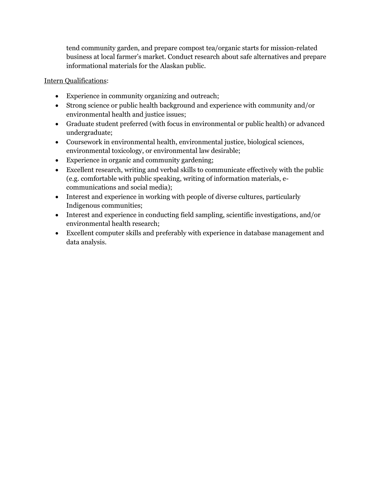tend community garden, and prepare compost tea/organic starts for mission-related business at local farmer's market. Conduct research about safe alternatives and prepare informational materials for the Alaskan public.

- Experience in community organizing and outreach;
- Strong science or public health background and experience with community and/or environmental health and justice issues;
- Graduate student preferred (with focus in environmental or public health) or advanced undergraduate;
- Coursework in environmental health, environmental justice, biological sciences, environmental toxicology, or environmental law desirable;
- Experience in organic and community gardening;
- Excellent research, writing and verbal skills to communicate effectively with the public (e.g. comfortable with public speaking, writing of information materials, ecommunications and social media);
- Interest and experience in working with people of diverse cultures, particularly Indigenous communities;
- Interest and experience in conducting field sampling, scientific investigations, and/or environmental health research;
- Excellent computer skills and preferably with experience in database management and data analysis.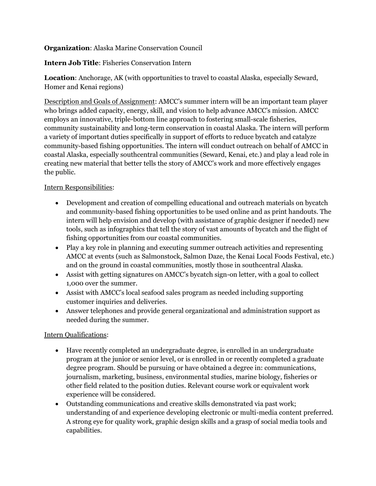# **Organization**: Alaska Marine Conservation Council

**Intern Job Title**: Fisheries Conservation Intern

**Location**: Anchorage, AK (with opportunities to travel to coastal Alaska, especially Seward, Homer and Kenai regions)

Description and Goals of Assignment: AMCC's summer intern will be an important team player who brings added capacity, energy, skill, and vision to help advance AMCC's mission. AMCC employs an innovative, triple-bottom line approach to fostering small-scale fisheries, community sustainability and long-term conservation in coastal Alaska. The intern will perform a variety of important duties specifically in support of efforts to reduce bycatch and catalyze community-based fishing opportunities. The intern will conduct outreach on behalf of AMCC in coastal Alaska, especially southcentral communities (Seward, Kenai, etc.) and play a lead role in creating new material that better tells the story of AMCC's work and more effectively engages the public.

# Intern Responsibilities:

- Development and creation of compelling educational and outreach materials on bycatch and community-based fishing opportunities to be used online and as print handouts. The intern will help envision and develop (with assistance of graphic designer if needed) new tools, such as infographics that tell the story of vast amounts of bycatch and the flight of fishing opportunities from our coastal communities.
- Play a key role in planning and executing summer outreach activities and representing AMCC at events (such as Salmonstock, Salmon Daze, the Kenai Local Foods Festival, etc.) and on the ground in coastal communities, mostly those in southcentral Alaska.
- Assist with getting signatures on AMCC's bycatch sign-on letter, with a goal to collect 1,000 over the summer.
- Assist with AMCC's local seafood sales program as needed including supporting customer inquiries and deliveries.
- Answer telephones and provide general organizational and administration support as needed during the summer.

- Have recently completed an undergraduate degree, is enrolled in an undergraduate program at the junior or senior level, or is enrolled in or recently completed a graduate degree program. Should be pursuing or have obtained a degree in: communications, journalism, marketing, business, environmental studies, marine biology, fisheries or other field related to the position duties. Relevant course work or equivalent work experience will be considered.
- Outstanding communications and creative skills demonstrated via past work; understanding of and experience developing electronic or multi-media content preferred. A strong eye for quality work, graphic design skills and a grasp of social media tools and capabilities.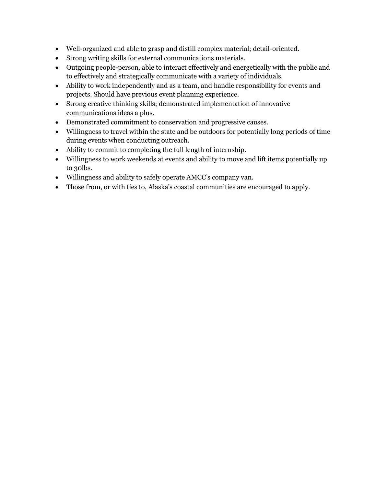- Well-organized and able to grasp and distill complex material; detail-oriented.
- Strong writing skills for external communications materials.
- Outgoing people-person, able to interact effectively and energetically with the public and to effectively and strategically communicate with a variety of individuals.
- Ability to work independently and as a team, and handle responsibility for events and projects. Should have previous event planning experience.
- Strong creative thinking skills; demonstrated implementation of innovative communications ideas a plus.
- Demonstrated commitment to conservation and progressive causes.
- Willingness to travel within the state and be outdoors for potentially long periods of time during events when conducting outreach.
- Ability to commit to completing the full length of internship.
- Willingness to work weekends at events and ability to move and lift items potentially up to 30lbs.
- Willingness and ability to safely operate AMCC's company van.
- Those from, or with ties to, Alaska's coastal communities are encouraged to apply.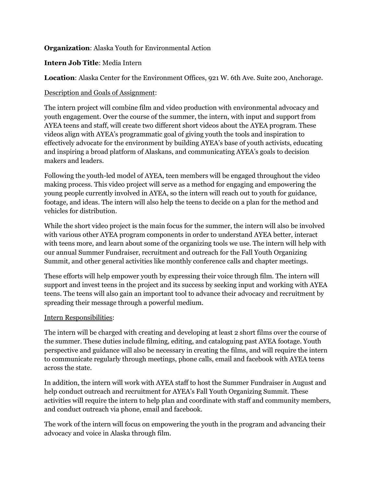## **Organization**: Alaska Youth for Environmental Action

#### **Intern Job Title**: Media Intern

**Location**: Alaska Center for the Environment Offices, 921 W. 6th Ave. Suite 200, Anchorage.

#### Description and Goals of Assignment:

The intern project will combine film and video production with environmental advocacy and youth engagement. Over the course of the summer, the intern, with input and support from AYEA teens and staff, will create two different short videos about the AYEA program. These videos align with AYEA's programmatic goal of giving youth the tools and inspiration to effectively advocate for the environment by building AYEA's base of youth activists, educating and inspiring a broad platform of Alaskans, and communicating AYEA's goals to decision makers and leaders.

Following the youth-led model of AYEA, teen members will be engaged throughout the video making process. This video project will serve as a method for engaging and empowering the young people currently involved in AYEA, so the intern will reach out to youth for guidance, footage, and ideas. The intern will also help the teens to decide on a plan for the method and vehicles for distribution.

While the short video project is the main focus for the summer, the intern will also be involved with various other AYEA program components in order to understand AYEA better, interact with teens more, and learn about some of the organizing tools we use. The intern will help with our annual Summer Fundraiser, recruitment and outreach for the Fall Youth Organizing Summit, and other general activities like monthly conference calls and chapter meetings.

These efforts will help empower youth by expressing their voice through film. The intern will support and invest teens in the project and its success by seeking input and working with AYEA teens. The teens will also gain an important tool to advance their advocacy and recruitment by spreading their message through a powerful medium.

#### Intern Responsibilities:

The intern will be charged with creating and developing at least 2 short films over the course of the summer. These duties include filming, editing, and cataloguing past AYEA footage. Youth perspective and guidance will also be necessary in creating the films, and will require the intern to communicate regularly through meetings, phone calls, email and facebook with AYEA teens across the state.

In addition, the intern will work with AYEA staff to host the Summer Fundraiser in August and help conduct outreach and recruitment for AYEA's Fall Youth Organizing Summit. These activities will require the intern to help plan and coordinate with staff and community members, and conduct outreach via phone, email and facebook.

The work of the intern will focus on empowering the youth in the program and advancing their advocacy and voice in Alaska through film.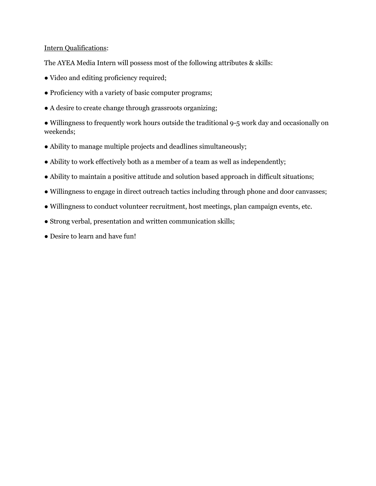#### Intern Qualifications:

The AYEA Media Intern will possess most of the following attributes & skills:

- Video and editing proficiency required;
- Proficiency with a variety of basic computer programs;
- A desire to create change through grassroots organizing;

• Willingness to frequently work hours outside the traditional 9-5 work day and occasionally on weekends;

- Ability to manage multiple projects and deadlines simultaneously;
- Ability to work effectively both as a member of a team as well as independently;
- Ability to maintain a positive attitude and solution based approach in difficult situations;
- Willingness to engage in direct outreach tactics including through phone and door canvasses;
- Willingness to conduct volunteer recruitment, host meetings, plan campaign events, etc.
- Strong verbal, presentation and written communication skills;
- Desire to learn and have fun!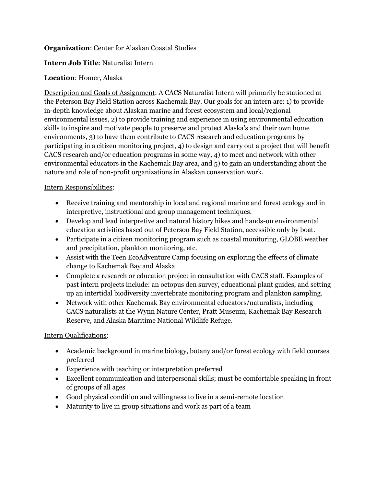# **Organization**: Center for Alaskan Coastal Studies

# **Intern Job Title**: Naturalist Intern

# **Location**: Homer, Alaska

Description and Goals of Assignment: A CACS Naturalist Intern will primarily be stationed at the Peterson Bay Field Station across Kachemak Bay. Our goals for an intern are: 1) to provide in-depth knowledge about Alaskan marine and forest ecosystem and local/regional environmental issues, 2) to provide training and experience in using environmental education skills to inspire and motivate people to preserve and protect Alaska's and their own home environments, 3) to have them contribute to CACS research and education programs by participating in a citizen monitoring project, 4) to design and carry out a project that will benefit CACS research and/or education programs in some way, 4) to meet and network with other environmental educators in the Kachemak Bay area, and 5) to gain an understanding about the nature and role of non-profit organizations in Alaskan conservation work.

# Intern Responsibilities:

- Receive training and mentorship in local and regional marine and forest ecology and in interpretive, instructional and group management techniques.
- Develop and lead interpretive and natural history hikes and hands-on environmental education activities based out of Peterson Bay Field Station, accessible only by boat.
- Participate in a citizen monitoring program such as coastal monitoring, GLOBE weather and precipitation, plankton monitoring, etc.
- Assist with the Teen EcoAdventure Camp focusing on exploring the effects of climate change to Kachemak Bay and Alaska
- Complete a research or education project in consultation with CACS staff. Examples of past intern projects include: an octopus den survey, educational plant guides, and setting up an intertidal biodiversity invertebrate monitoring program and plankton sampling.
- Network with other Kachemak Bay environmental educators/naturalists, including CACS naturalists at the Wynn Nature Center, Pratt Museum, Kachemak Bay Research Reserve, and Alaska Maritime National Wildlife Refuge.

- Academic background in marine biology, botany and/or forest ecology with field courses preferred
- Experience with teaching or interpretation preferred
- Excellent communication and interpersonal skills; must be comfortable speaking in front of groups of all ages
- Good physical condition and willingness to live in a semi-remote location
- Maturity to live in group situations and work as part of a team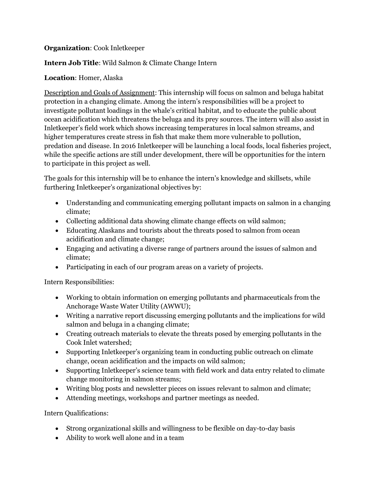# **Organization**: Cook Inletkeeper

# **Intern Job Title**: Wild Salmon & Climate Change Intern

# **Location**: Homer, Alaska

Description and Goals of Assignment: This internship will focus on salmon and beluga habitat protection in a changing climate. Among the intern's responsibilities will be a project to investigate pollutant loadings in the whale's critical habitat, and to educate the public about ocean acidification which threatens the beluga and its prey sources. The intern will also assist in Inletkeeper's field work which shows increasing temperatures in local salmon streams, and higher temperatures create stress in fish that make them more vulnerable to pollution, predation and disease. In 2016 Inletkeeper will be launching a local foods, local fisheries project, while the specific actions are still under development, there will be opportunities for the intern to participate in this project as well.

The goals for this internship will be to enhance the intern's knowledge and skillsets, while furthering Inletkeeper's organizational objectives by:

- Understanding and communicating emerging pollutant impacts on salmon in a changing climate;
- Collecting additional data showing climate change effects on wild salmon;
- Educating Alaskans and tourists about the threats posed to salmon from ocean acidification and climate change;
- Engaging and activating a diverse range of partners around the issues of salmon and climate;
- Participating in each of our program areas on a variety of projects.

Intern Responsibilities:

- Working to obtain information on emerging pollutants and pharmaceuticals from the Anchorage Waste Water Utility (AWWU);
- Writing a narrative report discussing emerging pollutants and the implications for wild salmon and beluga in a changing climate;
- Creating outreach materials to elevate the threats posed by emerging pollutants in the Cook Inlet watershed;
- Supporting Inletkeeper's organizing team in conducting public outreach on climate change, ocean acidification and the impacts on wild salmon;
- Supporting Inletkeeper's science team with field work and data entry related to climate change monitoring in salmon streams;
- Writing blog posts and newsletter pieces on issues relevant to salmon and climate;
- Attending meetings, workshops and partner meetings as needed.

- Strong organizational skills and willingness to be flexible on day-to-day basis
- Ability to work well alone and in a team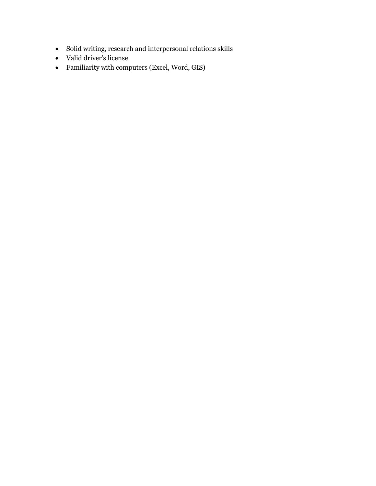- $\bullet$  Solid writing, research and interpersonal relations skills
- Valid driver's license
- Familiarity with computers (Excel, Word, GIS)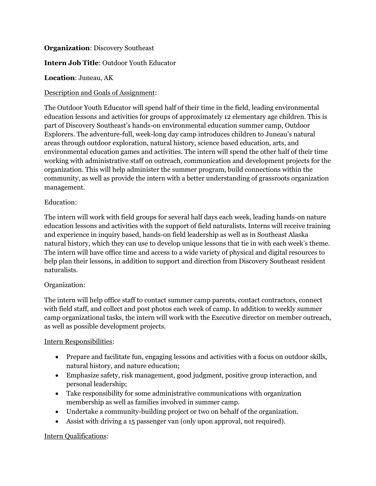## **Organization**: Discovery Southeast

## **Intern Job Title**: Outdoor Youth Educator

## **Location**: Juneau, AK

### Description and Goals of Assignment:

The Outdoor Youth Educator will spend half of their time in the field, leading environmental education lessons and activities for groups of approximately 12 elementary age children. This is part of Discovery Southeast's hands-on environmental education summer camp, Outdoor Explorers. The adventure-full, week-long day camp introduces children to Juneau's natural areas through outdoor exploration, natural history, science based education, arts, and environmental education games and activities. The intern will spend the other half of their time working with administrative staff on outreach, communication and development projects for the organization. This will help administer the summer program, build connections within the community, as well as provide the intern with a better understanding of grassroots organization management.

#### Education:

The intern will work with field groups for several half days each week, leading hands-on nature education lessons and activities with the support of field naturalists. Interns will receive training and experience in inquiry based, hands-on field leadership as well as in Southeast Alaska natural history, which they can use to develop unique lessons that tie in with each week's theme. The intern will have office time and access to a wide variety of physical and digital resources to help plan their lessons, in addition to support and direction from Discovery Southeast resident naturalists.

#### Organization:

The intern will help office staff to contact summer camp parents, contact contractors, connect with field staff, and collect and post photos each week of camp. In addition to weekly summer camp organizational tasks, the intern will work with the Executive director on member outreach, as well as possible development projects.

#### Intern Responsibilities:

- Prepare and facilitate fun, engaging lessons and activities with a focus on outdoor skills, natural history, and nature education;
- Emphasize safety, risk management, good judgment, positive group interaction, and personal leadership;
- Take responsibility for some administrative communications with organization membership as well as families involved in summer camp.
- Undertake a community-building project or two on behalf of the organization.
- Assist with driving a 15 passenger van (only upon approval, not required).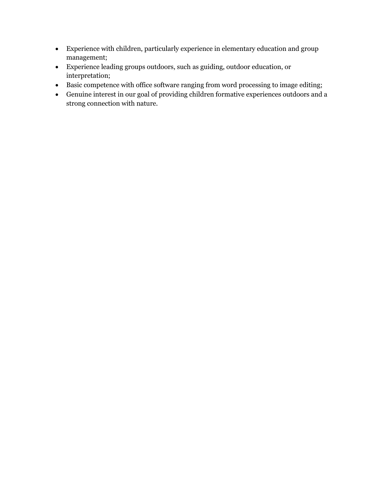- Experience with children, particularly experience in elementary education and group management;
- Experience leading groups outdoors, such as guiding, outdoor education, or interpretation;
- Basic competence with office software ranging from word processing to image editing;
- Genuine interest in our goal of providing children formative experiences outdoors and a strong connection with nature.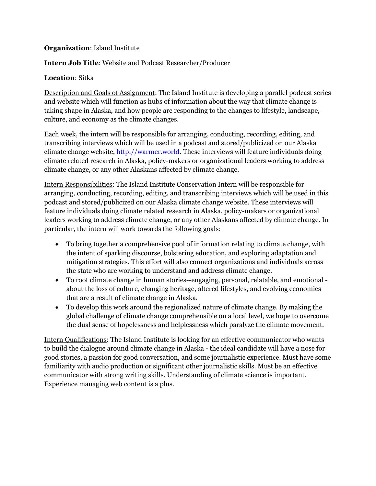## **Organization**: Island Institute

## **Intern Job Title**: Website and Podcast Researcher/Producer

# **Location**: Sitka

Description and Goals of Assignment: The Island Institute is developing a parallel podcast series and website which will function as hubs of information about the way that climate change is taking shape in Alaska, and how people are responding to the changes to lifestyle, landscape, culture, and economy as the climate changes.

Each week, the intern will be responsible for arranging, conducting, recording, editing, and transcribing interviews which will be used in a podcast and stored/publicized on our Alaska climate change website[, http://warmer.world.](http://warmer.world/) These interviews will feature individuals doing climate related research in Alaska, policy-makers or organizational leaders working to address climate change, or any other Alaskans affected by climate change.

Intern Responsibilities: The Island Institute Conservation Intern will be responsible for arranging, conducting, recording, editing, and transcribing interviews which will be used in this podcast and stored/publicized on our Alaska climate change website. These interviews will feature individuals doing climate related research in Alaska, policy-makers or organizational leaders working to address climate change, or any other Alaskans affected by climate change. In particular, the intern will work towards the following goals:

- To bring together a comprehensive pool of information relating to climate change, with the intent of sparking discourse, bolstering education, and exploring adaptation and mitigation strategies. This effort will also connect organizations and individuals across the state who are working to understand and address climate change.
- To root climate change in human stories--engaging, personal, relatable, and emotional about the loss of culture, changing heritage, altered lifestyles, and evolving economies that are a result of climate change in Alaska.
- To develop this work around the regionalized nature of climate change. By making the global challenge of climate change comprehensible on a local level, we hope to overcome the dual sense of hopelessness and helplessness which paralyze the climate movement.

Intern Qualifications: The Island Institute is looking for an effective communicator who wants to build the dialogue around climate change in Alaska - the ideal candidate will have a nose for good stories, a passion for good conversation, and some journalistic experience. Must have some familiarity with audio production or significant other journalistic skills. Must be an effective communicator with strong writing skills. Understanding of climate science is important. Experience managing web content is a plus.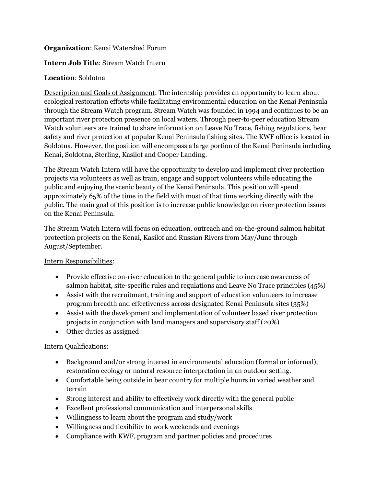## **Organization**: Kenai Watershed Forum

## **Intern Job Title**: Stream Watch Intern

## **Location**: Soldotna

Description and Goals of Assignment: The internship provides an opportunity to learn about ecological restoration efforts while facilitating environmental education on the Kenai Peninsula through the Stream Watch program. Stream Watch was founded in 1994 and continues to be an important river protection presence on local waters. Through peer-to-peer education Stream Watch volunteers are trained to share information on Leave No Trace, fishing regulations, bear safety and river protection at popular Kenai Peninsula fishing sites. The KWF office is located in Soldotna. However, the position will encompass a large portion of the Kenai Peninsula including Kenai, Soldotna, Sterling, Kasilof and Cooper Landing.

The Stream Watch Intern will have the opportunity to develop and implement river protection projects via volunteers as well as train, engage and support volunteers while educating the public and enjoying the scenic beauty of the Kenai Peninsula. This position will spend approximately 65% of the time in the field with most of that time working directly with the public. The main goal of this position is to increase public knowledge on river protection issues on the Kenai Peninsula.

The Stream Watch Intern will focus on education, outreach and on-the-ground salmon habitat protection projects on the Kenai, Kasilof and Russian Rivers from May/June through August/September.

# Intern Responsibilities:

- Provide effective on-river education to the general public to increase awareness of salmon habitat, site-specific rules and regulations and Leave No Trace principles (45%)
- Assist with the recruitment, training and support of education volunteers to increase program breadth and effectiveness across designated Kenai Peninsula sites (35%)
- Assist with the development and implementation of volunteer based river protection projects in conjunction with land managers and supervisory staff (20%)
- Other duties as assigned

- Background and/or strong interest in environmental education (formal or informal), restoration ecology or natural resource interpretation in an outdoor setting.
- Comfortable being outside in bear country for multiple hours in varied weather and terrain
- Strong interest and ability to effectively work directly with the general public
- Excellent professional communication and interpersonal skills
- Willingness to learn about the program and study/work
- Willingness and flexibility to work weekends and evenings
- Compliance with KWF, program and partner policies and procedures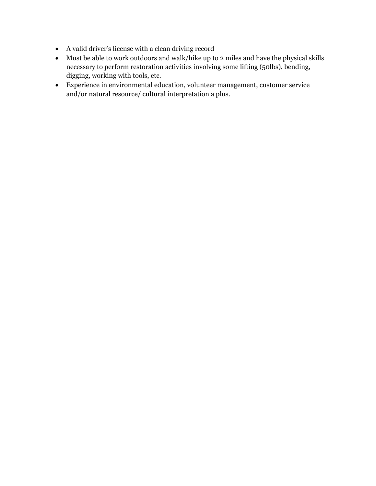- A valid driver's license with a clean driving record
- Must be able to work outdoors and walk/hike up to 2 miles and have the physical skills necessary to perform restoration activities involving some lifting (50lbs), bending, digging, working with tools, etc.
- Experience in environmental education, volunteer management, customer service and/or natural resource/ cultural interpretation a plus.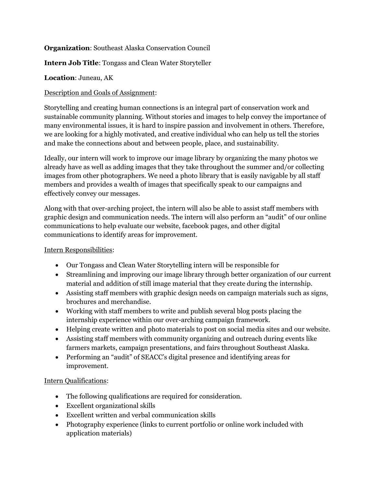# **Organization**: Southeast Alaska Conservation Council

# **Intern Job Title**: Tongass and Clean Water Storyteller

# **Location**: Juneau, AK

# Description and Goals of Assignment:

Storytelling and creating human connections is an integral part of conservation work and sustainable community planning. Without stories and images to help convey the importance of many environmental issues, it is hard to inspire passion and involvement in others. Therefore, we are looking for a highly motivated, and creative individual who can help us tell the stories and make the connections about and between people, place, and sustainability.

Ideally, our intern will work to improve our image library by organizing the many photos we already have as well as adding images that they take throughout the summer and/or collecting images from other photographers. We need a photo library that is easily navigable by all staff members and provides a wealth of images that specifically speak to our campaigns and effectively convey our messages.

Along with that over-arching project, the intern will also be able to assist staff members with graphic design and communication needs. The intern will also perform an "audit" of our online communications to help evaluate our website, facebook pages, and other digital communications to identify areas for improvement.

# Intern Responsibilities:

- Our Tongass and Clean Water Storytelling intern will be responsible for
- Streamlining and improving our image library through better organization of our current material and addition of still image material that they create during the internship.
- Assisting staff members with graphic design needs on campaign materials such as signs, brochures and merchandise.
- Working with staff members to write and publish several blog posts placing the internship experience within our over-arching campaign framework.
- Helping create written and photo materials to post on social media sites and our website.
- Assisting staff members with community organizing and outreach during events like farmers markets, campaign presentations, and fairs throughout Southeast Alaska.
- Performing an "audit" of SEACC's digital presence and identifying areas for improvement.

- The following qualifications are required for consideration.
- Excellent organizational skills
- Excellent written and verbal communication skills
- Photography experience (links to current portfolio or online work included with application materials)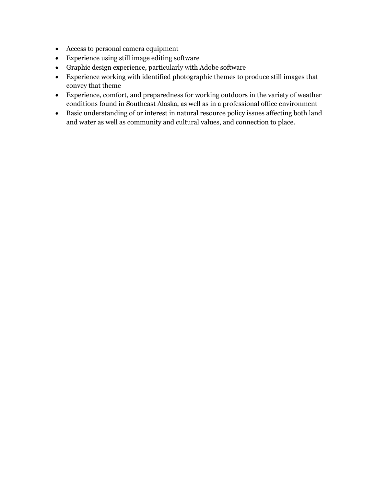- Access to personal camera equipment
- Experience using still image editing software
- Graphic design experience, particularly with Adobe software
- Experience working with identified photographic themes to produce still images that convey that theme
- Experience, comfort, and preparedness for working outdoors in the variety of weather conditions found in Southeast Alaska, as well as in a professional office environment
- Basic understanding of or interest in natural resource policy issues affecting both land and water as well as community and cultural values, and connection to place.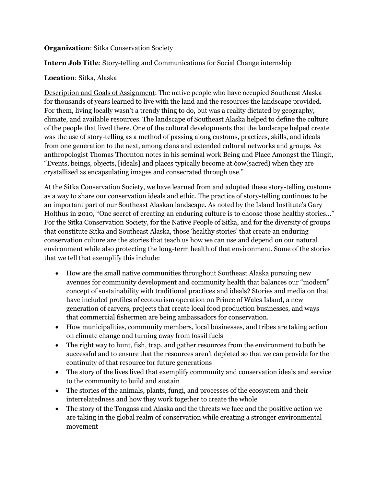### **Organization**: Sitka Conservation Society

# **Intern Job Title**: Story-telling and Communications for Social Change internship

## **Location**: Sitka, Alaska

Description and Goals of Assignment: The native people who have occupied Southeast Alaska for thousands of years learned to live with the land and the resources the landscape provided. For them, living locally wasn't a trendy thing to do, but was a reality dictated by geography, climate, and available resources. The landscape of Southeast Alaska helped to define the culture of the people that lived there. One of the cultural developments that the landscape helped create was the use of story-telling as a method of passing along customs, practices, skills, and ideals from one generation to the next, among clans and extended cultural networks and groups. As anthropologist Thomas Thornton notes in his seminal work Being and Place Amongst the Tlingit, "Events, beings, objects, [ideals] and places typically become at.óow(sacred) when they are crystallized as encapsulating images and consecrated through use."

At the Sitka Conservation Society, we have learned from and adopted these story-telling customs as a way to share our conservation ideals and ethic. The practice of story-telling continues to be an important part of our Southeast Alaskan landscape. As noted by the Island Institute's Gary Holthus in 2010, "One secret of creating an enduring culture is to choose those healthy stories…" For the Sitka Conservation Society, for the Native People of Sitka, and for the diversity of groups that constitute Sitka and Southeast Alaska, those 'healthy stories' that create an enduring conservation culture are the stories that teach us how we can use and depend on our natural environment while also protecting the long-term health of that environment. Some of the stories that we tell that exemplify this include:

- How are the small native communities throughout Southeast Alaska pursuing new avenues for community development and community health that balances our "modern" concept of sustainability with traditional practices and ideals? Stories and media on that have included profiles of ecotourism operation on Prince of Wales Island, a new generation of carvers, projects that create local food production businesses, and ways that commercial fishermen are being ambassadors for conservation.
- How municipalities, community members, local businesses, and tribes are taking action on climate change and turning away from fossil fuels
- The right way to hunt, fish, trap, and gather resources from the environment to both be successful and to ensure that the resources aren't depleted so that we can provide for the continuity of that resource for future generations
- The story of the lives lived that exemplify community and conservation ideals and service to the community to build and sustain
- The stories of the animals, plants, fungi, and processes of the ecosystem and their interrelatedness and how they work together to create the whole
- The story of the Tongass and Alaska and the threats we face and the positive action we are taking in the global realm of conservation while creating a stronger environmental movement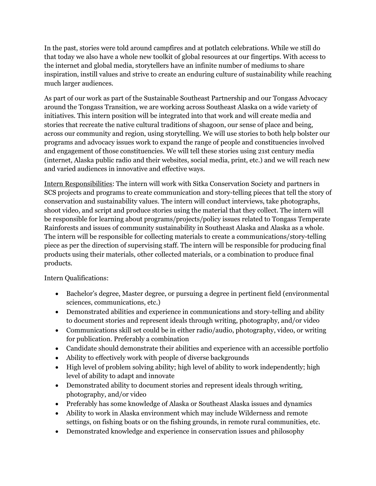In the past, stories were told around campfires and at potlatch celebrations. While we still do that today we also have a whole new toolkit of global resources at our fingertips. With access to the internet and global media, storytellers have an infinite number of mediums to share inspiration, instill values and strive to create an enduring culture of sustainability while reaching much larger audiences.

As part of our work as part of the Sustainable Southeast Partnership and our Tongass Advocacy around the Tongass Transition, we are working across Southeast Alaska on a wide variety of initiatives. This intern position will be integrated into that work and will create media and stories that recreate the native cultural traditions of shagoon, our sense of place and being, across our community and region, using storytelling. We will use stories to both help bolster our programs and advocacy issues work to expand the range of people and constituencies involved and engagement of those constituencies. We will tell these stories using 21st century media (internet, Alaska public radio and their websites, social media, print, etc.) and we will reach new and varied audiences in innovative and effective ways.

Intern Responsibilities: The intern will work with Sitka Conservation Society and partners in SCS projects and programs to create communication and story-telling pieces that tell the story of conservation and sustainability values. The intern will conduct interviews, take photographs, shoot video, and script and produce stories using the material that they collect. The intern will be responsible for learning about programs/projects/policy issues related to Tongass Temperate Rainforests and issues of community sustainability in Southeast Alaska and Alaska as a whole. The intern will be responsible for collecting materials to create a communications/story-telling piece as per the direction of supervising staff. The intern will be responsible for producing final products using their materials, other collected materials, or a combination to produce final products.

- Bachelor's degree, Master degree, or pursuing a degree in pertinent field (environmental sciences, communications, etc.)
- Demonstrated abilities and experience in communications and story-telling and ability to document stories and represent ideals through writing, photography, and/or video
- Communications skill set could be in either radio/audio, photography, video, or writing for publication. Preferably a combination
- Candidate should demonstrate their abilities and experience with an accessible portfolio
- Ability to effectively work with people of diverse backgrounds
- High level of problem solving ability; high level of ability to work independently; high level of ability to adapt and innovate
- Demonstrated ability to document stories and represent ideals through writing, photography, and/or video
- Preferably has some knowledge of Alaska or Southeast Alaska issues and dynamics
- Ability to work in Alaska environment which may include Wilderness and remote settings, on fishing boats or on the fishing grounds, in remote rural communities, etc.
- Demonstrated knowledge and experience in conservation issues and philosophy